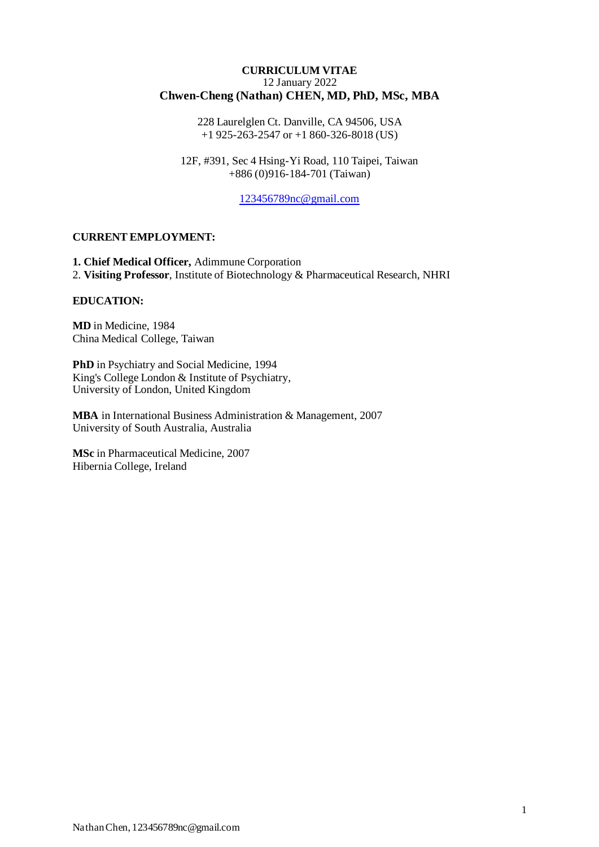#### **CURRICULUM VITAE** 12 January 2022 **Chwen-Cheng (Nathan) CHEN, MD, PhD, MSc, MBA**

228 Laurelglen Ct. Danville, CA 94506, USA +1 925-263-2547 or +1 860-326-8018 (US)

12F, #391, Sec 4 Hsing-Yi Road, 110 Taipei, Taiwan +886 (0)916-184-701 (Taiwan)

[123456789nc@gmail.com](mailto:123456789nc@gmail.com)

#### **CURRENT EMPLOYMENT:**

**1. Chief Medical Officer,** Adimmune Corporation 2. **Visiting Professor**, Institute of Biotechnology & Pharmaceutical Research, NHRI

#### **EDUCATION:**

**MD** in Medicine, 1984 China Medical College, Taiwan

**PhD** in Psychiatry and Social Medicine, 1994 King's College London & Institute of Psychiatry, University of London, United Kingdom

**MBA** in International Business Administration & Management, 2007 University of South Australia, Australia

**MSc** in Pharmaceutical Medicine, 2007 Hibernia College, Ireland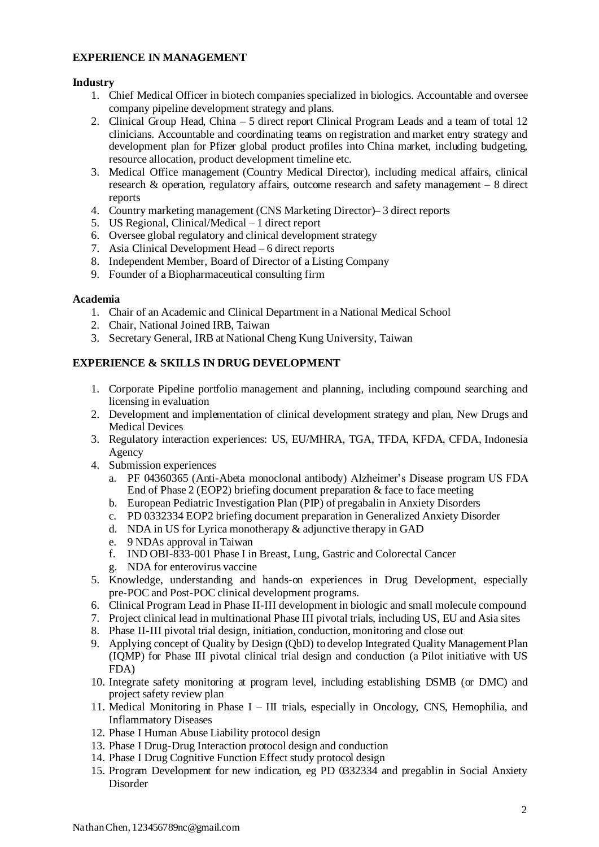### **EXPERIENCE IN MANAGEMENT**

### **Industry**

- 1. Chief Medical Officer in biotech companiesspecialized in biologics. Accountable and oversee company pipeline development strategy and plans.
- 2. Clinical Group Head, China 5 direct report Clinical Program Leads and a team of total 12 clinicians. Accountable and coordinating teams on registration and market entry strategy and development plan for Pfizer global product profiles into China market, including budgeting, resource allocation, product development timeline etc.
- 3. Medical Office management (Country Medical Director), including medical affairs, clinical research & operation, regulatory affairs, outcome research and safety management – 8 direct reports
- 4. Country marketing management (CNS Marketing Director)– 3 direct reports
- 5. US Regional, Clinical/Medical 1 direct report
- 6. Oversee global regulatory and clinical development strategy
- 7. Asia Clinical Development Head 6 direct reports
- 8. Independent Member, Board of Director of a Listing Company
- 9. Founder of a Biopharmaceutical consulting firm

### **Academia**

- 1. Chair of an Academic and Clinical Department in a National Medical School
- 2. Chair, National Joined IRB, Taiwan
- 3. Secretary General, IRB at National Cheng Kung University, Taiwan

### **EXPERIENCE & SKILLS IN DRUG DEVELOPMENT**

- 1. Corporate Pipeline portfolio management and planning, including compound searching and licensing in evaluation
- 2. Development and implementation of clinical development strategy and plan, New Drugs and Medical Devices
- 3. Regulatory interaction experiences: US, EU/MHRA, TGA, TFDA, KFDA, CFDA, Indonesia Agency
- 4. Submission experiences
	- a. PF 04360365 (Anti-Abeta monoclonal antibody) Alzheimer's Disease program US FDA End of Phase 2 (EOP2) briefing document preparation & face to face meeting
	- b. European Pediatric Investigation Plan (PIP) of pregabalin in Anxiety Disorders
	- c. PD 0332334 EOP2 briefing document preparation in Generalized Anxiety Disorder
	- d. NDA in US for Lyrica monotherapy & adjunctive therapy in GAD
	- e. 9 NDAs approval in Taiwan
	- f. IND OBI-833-001 Phase I in Breast, Lung, Gastric and Colorectal Cancer
	- g. NDA for enterovirus vaccine
- 5. Knowledge, understanding and hands-on experiences in Drug Development, especially pre-POC and Post-POC clinical development programs.
- 6. Clinical Program Lead in Phase II-III development in biologic and small molecule compound
- 7. Project clinical lead in multinational Phase III pivotal trials, including US, EU and Asia sites
- 8. Phase II-III pivotal trial design, initiation, conduction, monitoring and close out
- 9. Applying concept of Quality by Design (QbD) to develop Integrated Quality Management Plan (IQMP) for Phase III pivotal clinical trial design and conduction (a Pilot initiative with US FDA)
- 10. Integrate safety monitoring at program level, including establishing DSMB (or DMC) and project safety review plan
- 11. Medical Monitoring in Phase I III trials, especially in Oncology, CNS, Hemophilia, and Inflammatory Diseases
- 12. Phase I Human Abuse Liability protocol design
- 13. Phase I Drug-Drug Interaction protocol design and conduction
- 14. Phase I Drug Cognitive Function Effect study protocol design
- 15. Program Development for new indication, eg PD 0332334 and pregablin in Social Anxiety Disorder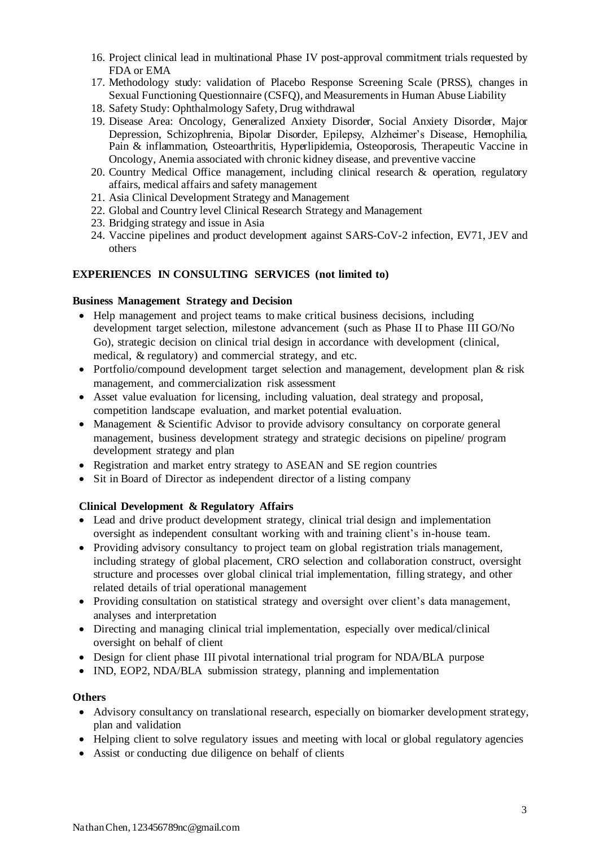- 16. Project clinical lead in multinational Phase IV post-approval commitment trials requested by FDA or EMA
- 17. Methodology study: validation of Placebo Response Screening Scale (PRSS), changes in Sexual Functioning Questionnaire (CSFQ), and Measurements in Human Abuse Liability
- 18. Safety Study: Ophthalmology Safety, Drug withdrawal
- 19. Disease Area: Oncology, Generalized Anxiety Disorder, Social Anxiety Disorder, Major Depression, Schizophrenia, Bipolar Disorder, Epilepsy, Alzheimer's Disease, Hemophilia, Pain & inflammation, Osteoarthritis, Hyperlipidemia, Osteoporosis, Therapeutic Vaccine in Oncology, Anemia associated with chronic kidney disease, and preventive vaccine
- 20. Country Medical Office management, including clinical research & operation, regulatory affairs, medical affairs and safety management
- 21. Asia Clinical Development Strategy and Management
- 22. Global and Country level Clinical Research Strategy and Management
- 23. Bridging strategy and issue in Asia
- 24. Vaccine pipelines and product development against SARS-CoV-2 infection, EV71, JEV and others

### **EXPERIENCES IN CONSULTING SERVICES (not limited to)**

#### **Business Management Strategy and Decision**

- Help management and project teams to make critical business decisions, including development target selection, milestone advancement (such as Phase II to Phase III GO/No Go), strategic decision on clinical trial design in accordance with development (clinical, medical, & regulatory) and commercial strategy, and etc.
- Portfolio/compound development target selection and management, development plan & risk management, and commercialization risk assessment
- Asset value evaluation for licensing, including valuation, deal strategy and proposal, competition landscape evaluation, and market potential evaluation.
- Management & Scientific Advisor to provide advisory consultancy on corporate general management, business development strategy and strategic decisions on pipeline/ program development strategy and plan
- Registration and market entry strategy to ASEAN and SE region countries
- Sit in Board of Director as independent director of a listing company

### **Clinical Development & Regulatory Affairs**

- Lead and drive product development strategy, clinical trial design and implementation oversight as independent consultant working with and training client's in-house team.
- Providing advisory consultancy to project team on global registration trials management, including strategy of global placement, CRO selection and collaboration construct, oversight structure and processes over global clinical trial implementation, filling strategy, and other related details of trial operational management
- Providing consultation on statistical strategy and oversight over client's data management, analyses and interpretation
- Directing and managing clinical trial implementation, especially over medical/clinical oversight on behalf of client
- Design for client phase III pivotal international trial program for NDA/BLA purpose
- IND, EOP2, NDA/BLA submission strategy, planning and implementation

#### **Others**

- Advisory consultancy on translational research, especially on biomarker development strategy, plan and validation
- Helping client to solve regulatory issues and meeting with local or global regulatory agencies
- Assist or conducting due diligence on behalf of clients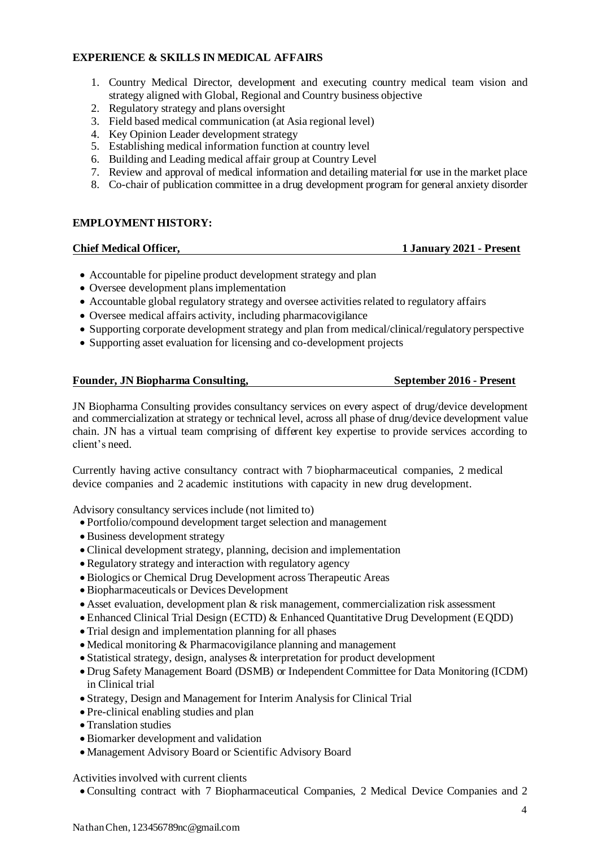### **EXPERIENCE & SKILLS IN MEDICAL AFFAIRS**

- 1. Country Medical Director, development and executing country medical team vision and strategy aligned with Global, Regional and Country business objective
- 2. Regulatory strategy and plans oversight
- 3. Field based medical communication (at Asia regional level)
- 4. Key Opinion Leader development strategy
- 5. Establishing medical information function at country level
- 6. Building and Leading medical affair group at Country Level
- 7. Review and approval of medical information and detailing material for use in the market place
- 8. Co-chair of publication committee in a drug development program for general anxiety disorder

#### **EMPLOYMENT HISTORY:**

#### **Chief Medical Officer, 1 January 2021 - Present**

- Accountable for pipeline product development strategy and plan
- Oversee development plans implementation
- Accountable global regulatory strategy and oversee activities related to regulatory affairs
- Oversee medical affairs activity, including pharmacovigilance
- Supporting corporate development strategy and plan from medical/clinical/regulatory perspective
- Supporting asset evaluation for licensing and co-development projects

#### **Founder, JN Biopharma Consulting, The September 2016 - Present**

JN Biopharma Consulting provides consultancy services on every aspect of drug/device development and commercialization at strategy or technical level, across all phase of drug/device development value chain. JN has a virtual team comprising of different key expertise to provide services according to client's need.

Currently having active consultancy contract with 7 biopharmaceutical companies, 2 medical device companies and 2 academic institutions with capacity in new drug development.

Advisory consultancy services include (not limited to)

- Portfolio/compound development target selection and management
- Business development strategy
- Clinical development strategy, planning, decision and implementation
- Regulatory strategy and interaction with regulatory agency
- Biologics or Chemical Drug Development across Therapeutic Areas
- Biopharmaceuticals or Devices Development
- Asset evaluation, development plan & risk management, commercialization risk assessment
- Enhanced Clinical Trial Design (ECTD) & Enhanced Quantitative Drug Development (EQDD)
- Trial design and implementation planning for all phases
- Medical monitoring & Pharmacovigilance planning and management
- Statistical strategy, design, analyses & interpretation for product development
- Drug Safety Management Board (DSMB) or Independent Committee for Data Monitoring (ICDM) in Clinical trial
- Strategy, Design and Management for Interim Analysis for Clinical Trial
- Pre-clinical enabling studies and plan
- Translation studies
- Biomarker development and validation
- Management Advisory Board or Scientific Advisory Board

Activities involved with current clients

• Consulting contract with 7 Biopharmaceutical Companies, 2 Medical Device Companies and 2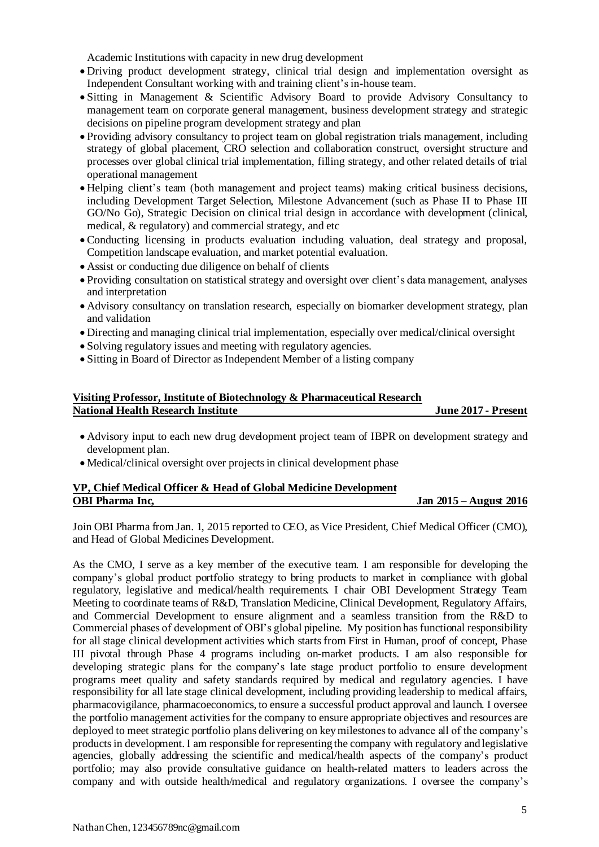Academic Institutions with capacity in new drug development

- Driving product development strategy, clinical trial design and implementation oversight as Independent Consultant working with and training client's in-house team.
- Sitting in Management & Scientific Advisory Board to provide Advisory Consultancy to management team on corporate general management, business development strategy and strategic decisions on pipeline program development strategy and plan
- Providing advisory consultancy to project team on global registration trials management, including strategy of global placement, CRO selection and collaboration construct, oversight structure and processes over global clinical trial implementation, filling strategy, and other related details of trial operational management
- Helping client's team (both management and project teams) making critical business decisions, including Development Target Selection, Milestone Advancement (such as Phase II to Phase III GO/No Go), Strategic Decision on clinical trial design in accordance with development (clinical, medical, & regulatory) and commercial strategy, and etc
- Conducting licensing in products evaluation including valuation, deal strategy and proposal, Competition landscape evaluation, and market potential evaluation.
- Assist or conducting due diligence on behalf of clients
- Providing consultation on statistical strategy and oversight over client's data management, analyses and interpretation
- Advisory consultancy on translation research, especially on biomarker development strategy, plan and validation
- Directing and managing clinical trial implementation, especially over medical/clinical oversight
- Solving regulatory issues and meeting with regulatory agencies.
- Sitting in Board of Director as Independent Member of a listing company

#### **Visiting Professor, Institute of Biotechnology & Pharmaceutical Research National Health Research Institute June 2017 - Present**

- Advisory input to each new drug development project team of IBPR on development strategy and development plan.
- Medical/clinical oversight over projects in clinical development phase

### **VP, Chief Medical Officer & Head of Global Medicine Development OBI Pharma Inc,** Jan 2015 – August 2016

Join OBI Pharma fromJan. 1, 2015 reported to CEO, as Vice President, Chief Medical Officer (CMO), and Head of Global Medicines Development.

As the CMO, I serve as a key member of the executive team. I am responsible for developing the company's global product portfolio strategy to bring products to market in compliance with global regulatory, legislative and medical/health requirements. I chair OBI Development Strategy Team Meeting to coordinate teams of R&D, Translation Medicine, Clinical Development, Regulatory Affairs, and Commercial Development to ensure alignment and a seamless transition from the R&D to Commercial phases of development of OBI's global pipeline. My position has functional responsibility for all stage clinical development activities which starts from First in Human, proof of concept, Phase III pivotal through Phase 4 programs including on-market products. I am also responsible for developing strategic plans for the company's late stage product portfolio to ensure development programs meet quality and safety standards required by medical and regulatory agencies. I have responsibility for all late stage clinical development, including providing leadership to medical affairs, pharmacovigilance, pharmacoeconomics, to ensure a successful product approval and launch. I oversee the portfolio management activities for the company to ensure appropriate objectives and resources are deployed to meet strategic portfolio plans delivering on key milestones to advance all of the company's products in development. I am responsible for representing the company with regulatory and legislative agencies, globally addressing the scientific and medical/health aspects of the company's product portfolio; may also provide consultative guidance on health-related matters to leaders across the company and with outside health/medical and regulatory organizations. I oversee the company's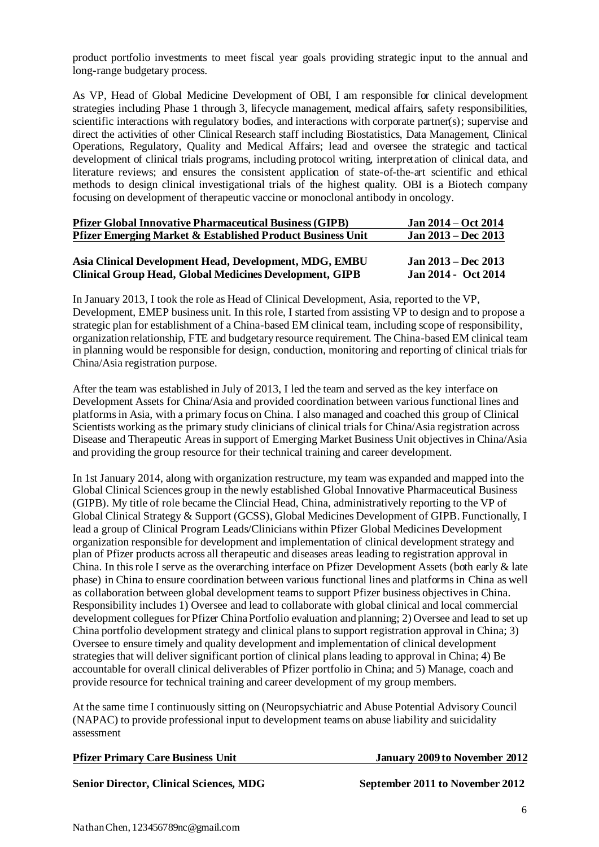product portfolio investments to meet fiscal year goals providing strategic input to the annual and long-range budgetary process.

As VP, Head of Global Medicine Development of OBI, I am responsible for clinical development strategies including Phase 1 through 3, lifecycle management, medical affairs, safety responsibilities, scientific interactions with regulatory bodies, and interactions with corporate partner(s); supervise and direct the activities of other Clinical Research staff including Biostatistics, Data Management, Clinical Operations, Regulatory, Quality and Medical Affairs; lead and oversee the strategic and tactical development of clinical trials programs, including protocol writing, interpretation of clinical data, and literature reviews; and ensures the consistent application of state-of-the-art scientific and ethical methods to design clinical investigational trials of the highest quality. OBI is a Biotech company focusing on development of therapeutic vaccine or monoclonal antibody in oncology.

| <b>Pfizer Global Innovative Pharmaceutical Business (GIPB)</b>        | $Jan 2014 - Oct 2014$ |
|-----------------------------------------------------------------------|-----------------------|
| <b>Pfizer Emerging Market &amp; Established Product Business Unit</b> | Jan $2013 - Dec$ 2013 |
|                                                                       |                       |
| Asia Clinical Development Head, Development, MDG, EMBU                | Jan $2013 - Dec 2013$ |
| <b>Clinical Group Head, Global Medicines Development, GIPB</b>        | Jan 2014 - Oct 2014   |

In January 2013, I took the role as Head of Clinical Development, Asia, reported to the VP, Development, EMEP business unit. In this role, I started from assisting VP to design and to propose a strategic plan for establishment of a China-based EM clinical team, including scope of responsibility, organization relationship, FTE and budgetary resource requirement. The China-based EM clinical team in planning would be responsible for design, conduction, monitoring and reporting of clinical trials for China/Asia registration purpose.

After the team was established in July of 2013, I led the team and served as the key interface on Development Assets for China/Asia and provided coordination between various functional lines and platforms in Asia, with a primary focus on China. I also managed and coached this group of Clinical Scientists working as the primary study clinicians of clinical trials for China/Asia registration across Disease and Therapeutic Areasin support of Emerging Market Business Unit objectives in China/Asia and providing the group resource for their technical training and career development.

In 1st January 2014, along with organization restructure, my team was expanded and mapped into the Global Clinical Sciences group in the newly established Global Innovative Pharmaceutical Business (GIPB). My title of role became the Clincial Head, China, administratively reporting to the VP of Global Clinical Strategy & Support (GCSS), Global Medicines Development of GIPB. Functionally, I lead a group of Clinical Program Leads/Clinicians within Pfizer Global Medicines Development organization responsible for development and implementation of clinical development strategy and plan of Pfizer products across all therapeutic and diseases areas leading to registration approval in China. In this role I serve as the overarching interface on Pfizer Development Assets (both early & late phase) in China to ensure coordination between various functional lines and platforms in China as well as collaboration between global development teams to support Pfizer business objectives in China. Responsibility includes 1) Oversee and lead to collaborate with global clinical and local commercial development collegues for Pfizer China Portfolio evaluation and planning; 2) Oversee and lead to set up China portfolio development strategy and clinical plans to support registration approval in China; 3) Oversee to ensure timely and quality development and implementation of clinical development strategies that will deliver significant portion of clinical plans leading to approval in China; 4) Be accountable for overall clinical deliverables of Pfizer portfolio in China; and 5) Manage, coach and provide resource for technical training and career development of my group members.

At the same time I continuously sitting on (Neuropsychiatric and Abuse Potential Advisory Council (NAPAC) to provide professional input to development teams on abuse liability and suicidality assessment

|  | <b>Pfizer Primary Care Business Unit</b> |  |
|--|------------------------------------------|--|
|  |                                          |  |

**January 2009 to November 2012** 

**Senior Director, Clinical Sciences, MDG September 2011 to November 2012**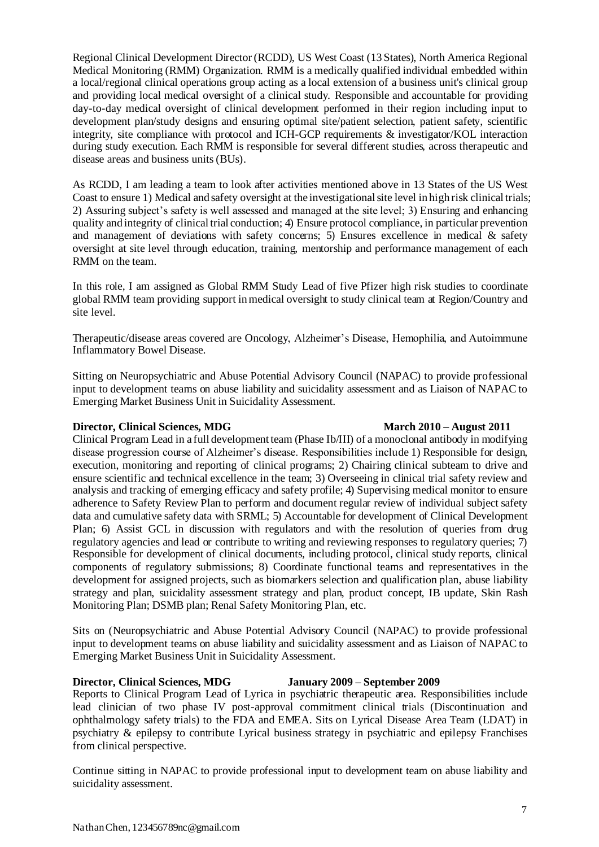Regional Clinical Development Director (RCDD), US West Coast (13 States), North America Regional Medical Monitoring (RMM) Organization. RMM is a medically qualified individual embedded within a local/regional clinical operations group acting as a local extension of a business unit's clinical group and providing local medical oversight of a clinical study. Responsible and accountable for providing day-to-day medical oversight of clinical development performed in their region including input to development plan/study designs and ensuring optimal site/patient selection, patient safety, scientific integrity, site compliance with protocol and ICH-GCP requirements & investigator/KOL interaction during study execution. Each RMM is responsible for several different studies, across therapeutic and disease areas and business units (BUs).

As RCDD, I am leading a team to look after activities mentioned above in 13 States of the US West Coast to ensure 1) Medical and safety oversight at the investigational site level in high risk clinical trials; 2) Assuring subject's safety is well assessed and managed at the site level; 3) Ensuring and enhancing quality and integrity of clinical trial conduction; 4) Ensure protocol compliance, in particular prevention and management of deviations with safety concerns; 5) Ensures excellence in medical  $\&$  safety oversight at site level through education, training, mentorship and performance management of each RMM on the team.

In this role, I am assigned as Global RMM Study Lead of five Pfizer high risk studies to coordinate global RMM team providing support in medical oversight to study clinical team at Region/Country and site level.

Therapeutic/disease areas covered are Oncology, Alzheimer's Disease, Hemophilia, and Autoimmune Inflammatory Bowel Disease.

Sitting on Neuropsychiatric and Abuse Potential Advisory Council (NAPAC) to provide professional input to development teams on abuse liability and suicidality assessment and as Liaison of NAPAC to Emerging Market Business Unit in Suicidality Assessment.

# **Director, Clinical Sciences, MDG March 2010 – August 2011**

Clinical Program Lead in a full development team (Phase Ib/III) of a monoclonal antibody in modifying disease progression course of Alzheimer's disease. Responsibilities include 1) Responsible for design, execution, monitoring and reporting of clinical programs; 2) Chairing clinical subteam to drive and ensure scientific and technical excellence in the team; 3) Overseeing in clinical trial safety review and analysis and tracking of emerging efficacy and safety profile; 4) Supervising medical monitor to ensure adherence to Safety Review Plan to perform and document regular review of individual subject safety data and cumulative safety data with SRML; 5) Accountable for development of Clinical Development Plan; 6) Assist GCL in discussion with regulators and with the resolution of queries from drug regulatory agencies and lead or contribute to writing and reviewing responses to regulatory queries; 7) Responsible for development of clinical documents, including protocol, clinical study reports, clinical components of regulatory submissions; 8) Coordinate functional teams and representatives in the development for assigned projects, such as biomarkers selection and qualification plan, abuse liability strategy and plan, suicidality assessment strategy and plan, product concept, IB update, Skin Rash Monitoring Plan; DSMB plan; Renal Safety Monitoring Plan, etc.

Sits on (Neuropsychiatric and Abuse Potential Advisory Council (NAPAC) to provide professional input to development teams on abuse liability and suicidality assessment and as Liaison of NAPAC to Emerging Market Business Unit in Suicidality Assessment.

### **Director, Clinical Sciences, MDG January 2009 – September 2009**

Reports to Clinical Program Lead of Lyrica in psychiatric therapeutic area. Responsibilities include lead clinician of two phase IV post-approval commitment clinical trials (Discontinuation and ophthalmology safety trials) to the FDA and EMEA. Sits on Lyrical Disease Area Team (LDAT) in psychiatry & epilepsy to contribute Lyrical business strategy in psychiatric and epilepsy Franchises from clinical perspective.

Continue sitting in NAPAC to provide professional input to development team on abuse liability and suicidality assessment.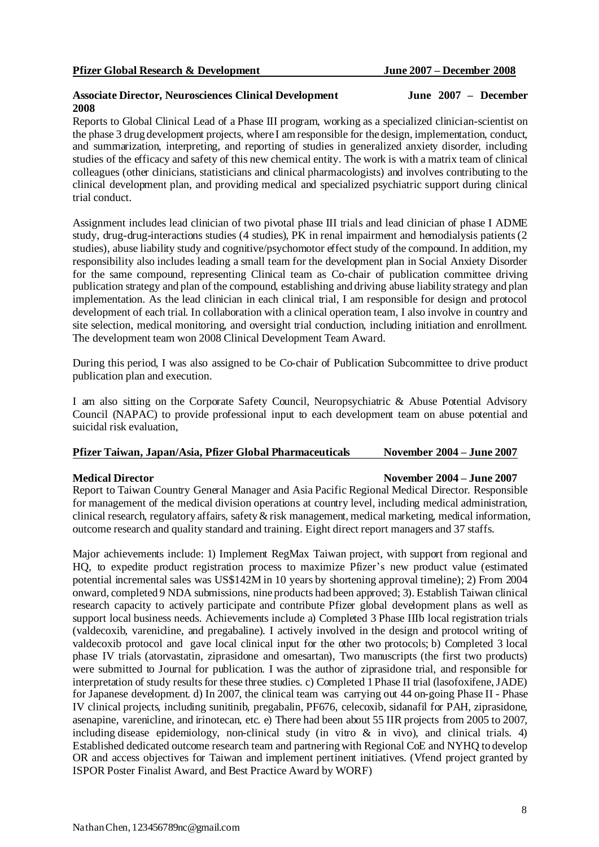#### **Associate Director, Neurosciences Clinical Development June 2007 – December 2008**

Reports to Global Clinical Lead of a Phase III program, working as a specialized clinician-scientist on the phase 3 drug development projects, where I am responsible for the design, implementation, conduct, and summarization, interpreting, and reporting of studies in generalized anxiety disorder, including studies of the efficacy and safety of this new chemical entity. The work is with a matrix team of clinical colleagues (other clinicians, statisticians and clinical pharmacologists) and involves contributing to the clinical development plan, and providing medical and specialized psychiatric support during clinical trial conduct.

Assignment includes lead clinician of two pivotal phase III trials and lead clinician of phase I ADME study, drug-drug-interactions studies (4 studies), PK in renal impairment and hemodialysis patients (2 studies), abuse liability study and cognitive/psychomotor effect study of the compound. In addition, my responsibility also includes leading a small team for the development plan in Social Anxiety Disorder for the same compound, representing Clinical team as Co-chair of publication committee driving publication strategy and plan of the compound, establishing and driving abuse liability strategy and plan implementation. As the lead clinician in each clinical trial, I am responsible for design and protocol development of each trial. In collaboration with a clinical operation team, I also involve in country and site selection, medical monitoring, and oversight trial conduction, including initiation and enrollment. The development team won 2008 Clinical Development Team Award.

During this period, I was also assigned to be Co-chair of Publication Subcommittee to drive product publication plan and execution.

I am also sitting on the Corporate Safety Council, Neuropsychiatric & Abuse Potential Advisory Council (NAPAC) to provide professional input to each development team on abuse potential and suicidal risk evaluation,

#### **Pfizer Taiwan, Japan/Asia, Pfizer Global Pharmaceuticals November 2004 – June 2007**

#### **Medical Director November 2004 – June 2007**

Report to Taiwan Country General Manager and Asia Pacific Regional Medical Director. Responsible for management of the medical division operations at country level, including medical administration, clinical research, regulatory affairs, safety & risk management, medical marketing, medical information, outcome research and quality standard and training. Eight direct report managers and 37 staffs.

Major achievements include: 1) Implement RegMax Taiwan project, with support from regional and HQ, to expedite product registration process to maximize Pfizer's new product value (estimated potential incremental sales was US\$142M in 10 years by shortening approval timeline); 2) From 2004 onward, completed 9 NDA submissions, nine products had been approved; 3). Establish Taiwan clinical research capacity to actively participate and contribute Pfizer global development plans as well as support local business needs. Achievements include a) Completed 3 Phase IIIb local registration trials (valdecoxib, varenicline, and pregabaline). I actively involved in the design and protocol writing of valdecoxib protocol and gave local clinical input for the other two protocols; b) Completed 3 local phase IV trials (atorvastatin, ziprasidone and omesartan), Two manuscripts (the first two products) were submitted to Journal for publication. I was the author of ziprasidone trial, and responsible for interpretation of study results for these three studies. c) Completed 1 Phase II trial (lasofoxifene, JADE) for Japanese development. d) In 2007, the clinical team was carrying out 44 on-going Phase II - Phase IV clinical projects, including sunitinib, pregabalin, PF676, celecoxib, sidanafil for PAH, ziprasidone, asenapine, varenicline, and irinotecan, etc. e) There had been about 55 IIR projects from 2005 to 2007, including disease epidemiology, non-clinical study (in vitro  $\&$  in vivo), and clinical trials. 4) Established dedicated outcome research team and partnering with Regional CoE and NYHQ to develop OR and access objectives for Taiwan and implement pertinent initiatives. (Vfend project granted by ISPOR Poster Finalist Award, and Best Practice Award by WORF)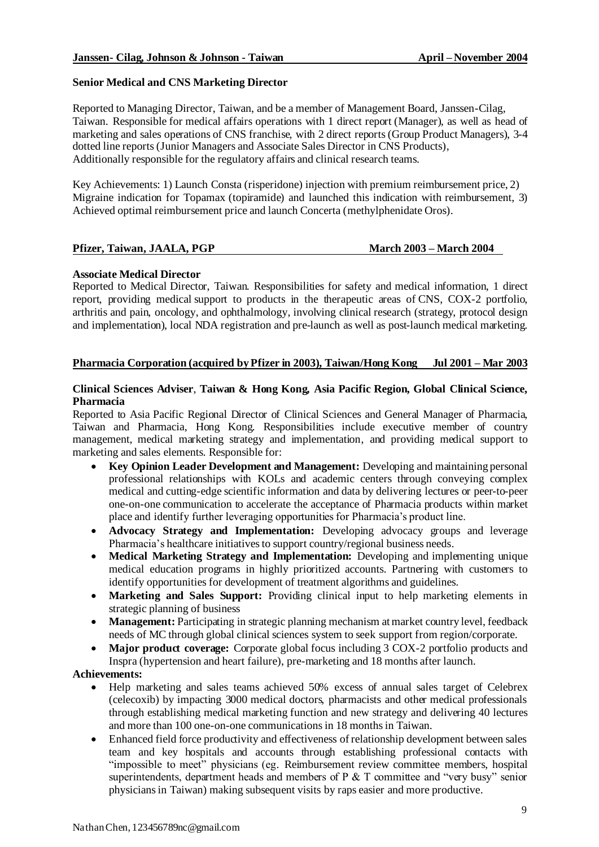#### **Senior Medical and CNS Marketing Director**

Reported to Managing Director, Taiwan, and be a member of Management Board, Janssen-Cilag, Taiwan. Responsible for medical affairs operations with 1 direct report (Manager), as well as head of marketing and sales operations of CNS franchise, with 2 direct reports(Group Product Managers), 3-4 dotted line reports (Junior Managers and Associate Sales Director in CNS Products), Additionally responsible for the regulatory affairs and clinical research teams.

Key Achievements: 1) Launch Consta (risperidone) injection with premium reimbursement price, 2) Migraine indication for Topamax (topiramide) and launched this indication with reimbursement, 3) Achieved optimal reimbursement price and launch Concerta (methylphenidate Oros).

#### **Pfizer, Taiwan, JAALA, PGP March 2003 – March 2004**

#### **Associate Medical Director**

Reported to Medical Director, Taiwan. Responsibilities for safety and medical information, 1 direct report, providing medical support to products in the therapeutic areas of CNS, COX-2 portfolio, arthritis and pain, oncology, and ophthalmology, involving clinical research (strategy, protocol design and implementation), local NDA registration and pre-launch as well as post-launch medical marketing.

#### **Pharmacia Corporation (acquired by Pfizer in 2003), Taiwan/Hong Kong Jul 2001 – Mar 2003**

#### **Clinical Sciences Adviser**, **Taiwan & Hong Kong, Asia Pacific Region, Global Clinical Science, Pharmacia**

Reported to Asia Pacific Regional Director of Clinical Sciences and General Manager of Pharmacia, Taiwan and Pharmacia, Hong Kong. Responsibilities include executive member of country management, medical marketing strategy and implementation, and providing medical support to marketing and sales elements. Responsible for:

- **Key Opinion Leader Development and Management:** Developing and maintaining personal professional relationships with KOLs and academic centers through conveying complex medical and cutting-edge scientific information and data by delivering lectures or peer-to-peer one-on-one communication to accelerate the acceptance of Pharmacia products within market place and identify further leveraging opportunities for Pharmacia's product line.
- **Advocacy Strategy and Implementation:** Developing advocacy groups and leverage Pharmacia's healthcare initiatives to support country/regional business needs.
- **Medical Marketing Strategy and Implementation:** Developing and implementing unique medical education programs in highly prioritized accounts. Partnering with customers to identify opportunities for development of treatment algorithms and guidelines.
- **Marketing and Sales Support:** Providing clinical input to help marketing elements in strategic planning of business
- Management: Participating in strategic planning mechanism at market country level, feedback needs of MC through global clinical sciences system to seek support from region/corporate.
- **Major product coverage:** Corporate global focus including 3 COX-2 portfolio products and Inspra (hypertension and heart failure), pre-marketing and 18 months after launch.

#### **Achievements:**

- Help marketing and sales teams achieved 50% excess of annual sales target of Celebrex (celecoxib) by impacting 3000 medical doctors, pharmacists and other medical professionals through establishing medical marketing function and new strategy and delivering 40 lectures and more than 100 one-on-one communications in 18 months in Taiwan.
- Enhanced field force productivity and effectiveness of relationship development between sales team and key hospitals and accounts through establishing professional contacts with "impossible to meet" physicians (eg. Reimbursement review committee members, hospital superintendents, department heads and members of  $P \& T$  committee and "very busy" senior physicians in Taiwan) making subsequent visits by raps easier and more productive.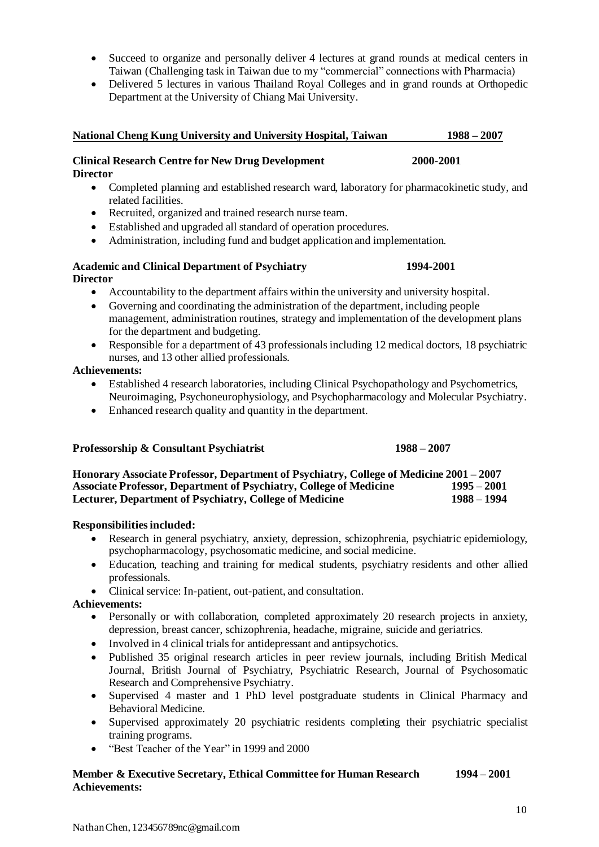- Succeed to organize and personally deliver 4 lectures at grand rounds at medical centers in Taiwan (Challenging task in Taiwan due to my "commercial" connections with Pharmacia)
- Delivered 5 lectures in various Thailand Royal Colleges and in grand rounds at Orthopedic Department at the University of Chiang Mai University.

#### **National Cheng Kung University and University Hospital, Taiwan 1988 – 2007**

## **Clinical Research Centre for New Drug Development 2000-2001**

- **Director**
	- Completed planning and established research ward, laboratory for pharmacokinetic study, and related facilities.
	- Recruited, organized and trained research nurse team.
	- Established and upgraded all standard of operation procedures.
	- Administration, including fund and budget application and implementation.

#### **Academic and Clinical Department of Psychiatry 1994-2001 Director**

- Accountability to the department affairs within the university and university hospital.
- Governing and coordinating the administration of the department, including people management, administration routines, strategy and implementation of the development plans for the department and budgeting.
- Responsible for a department of 43 professionals including 12 medical doctors, 18 psychiatric nurses, and 13 other allied professionals.

#### **Achievements:**

- Established 4 research laboratories, including Clinical Psychopathology and Psychometrics, Neuroimaging, Psychoneurophysiology, and Psychopharmacology and Molecular Psychiatry.
- Enhanced research quality and quantity in the department.

#### **Professorship & Consultant Psychiatrist 1988 – 2007**

**Honorary Associate Professor, Department of Psychiatry, College of Medicine 2001 – 2007 Associate Professor, Department of Psychiatry, College of Medicine 1995 – 2001 Lecturer, Department of Psychiatry, College of Medicine 1988 – 1994**

#### **Responsibilities included:**

- Research in general psychiatry, anxiety, depression, schizophrenia, psychiatric epidemiology, psychopharmacology, psychosomatic medicine, and social medicine.
- Education, teaching and training for medical students, psychiatry residents and other allied professionals.
- Clinical service: In-patient, out-patient, and consultation.

### **Achievements:**

- Personally or with collaboration, completed approximately 20 research projects in anxiety, depression, breast cancer, schizophrenia, headache, migraine, suicide and geriatrics.
- Involved in 4 clinical trials for antidepressant and antipsychotics.
- Published 35 original research articles in peer review journals, including British Medical Journal, British Journal of Psychiatry, Psychiatric Research, Journal of Psychosomatic Research and Comprehensive Psychiatry.
- Supervised 4 master and 1 PhD level postgraduate students in Clinical Pharmacy and Behavioral Medicine.
- Supervised approximately 20 psychiatric residents completing their psychiatric specialist training programs.
- "Best Teacher of the Year" in 1999 and 2000

#### **Member & Executive Secretary, Ethical Committee for Human Research 1994 – 2001 Achievements:**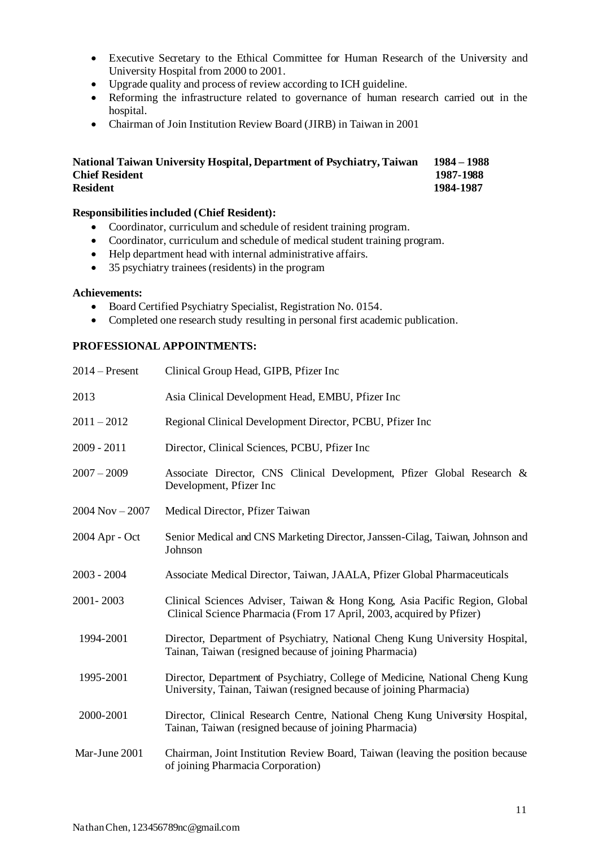- Executive Secretary to the Ethical Committee for Human Research of the University and University Hospital from 2000 to 2001.
- Upgrade quality and process of review according to ICH guideline.
- Reforming the infrastructure related to governance of human research carried out in the hospital.
- Chairman of Join Institution Review Board (JIRB) in Taiwan in 2001

#### **National Taiwan University Hospital, Department of Psychiatry, Taiwan 1984 – 1988 Chief Resident 1987-1988 Resident 1984-1987**

### **Responsibilities included (Chief Resident):**

- Coordinator, curriculum and schedule of resident training program.
- Coordinator, curriculum and schedule of medical student training program.
- Help department head with internal administrative affairs.
- 35 psychiatry trainees (residents) in the program

#### **Achievements:**

- Board Certified Psychiatry Specialist, Registration No. 0154.
- Completed one research study resulting in personal first academic publication.

### **PROFESSIONAL APPOINTMENTS:**

| $2014 -$ Present   | Clinical Group Head, GIPB, Pfizer Inc                                                                                                              |
|--------------------|----------------------------------------------------------------------------------------------------------------------------------------------------|
| 2013               | Asia Clinical Development Head, EMBU, Pfizer Inc.                                                                                                  |
| $2011 - 2012$      | Regional Clinical Development Director, PCBU, Pfizer Inc                                                                                           |
| $2009 - 2011$      | Director, Clinical Sciences, PCBU, Pfizer Inc                                                                                                      |
| $2007 - 2009$      | Associate Director, CNS Clinical Development, Pfizer Global Research &<br>Development, Pfizer Inc.                                                 |
| $2004$ Nov $-2007$ | Medical Director, Pfizer Taiwan                                                                                                                    |
| 2004 Apr - Oct     | Senior Medical and CNS Marketing Director, Janssen-Cilag, Taiwan, Johnson and<br>Johnson                                                           |
| $2003 - 2004$      | Associate Medical Director, Taiwan, JAALA, Pfizer Global Pharmaceuticals                                                                           |
| 2001-2003          | Clinical Sciences Adviser, Taiwan & Hong Kong, Asia Pacific Region, Global<br>Clinical Science Pharmacia (From 17 April, 2003, acquired by Pfizer) |
| 1994-2001          | Director, Department of Psychiatry, National Cheng Kung University Hospital,<br>Tainan, Taiwan (resigned because of joining Pharmacia)             |
| 1995-2001          | Director, Department of Psychiatry, College of Medicine, National Cheng Kung<br>University, Tainan, Taiwan (resigned because of joining Pharmacia) |
| 2000-2001          | Director, Clinical Research Centre, National Cheng Kung University Hospital,<br>Tainan, Taiwan (resigned because of joining Pharmacia)             |
| Mar-June 2001      | Chairman, Joint Institution Review Board, Taiwan (leaving the position because<br>of joining Pharmacia Corporation)                                |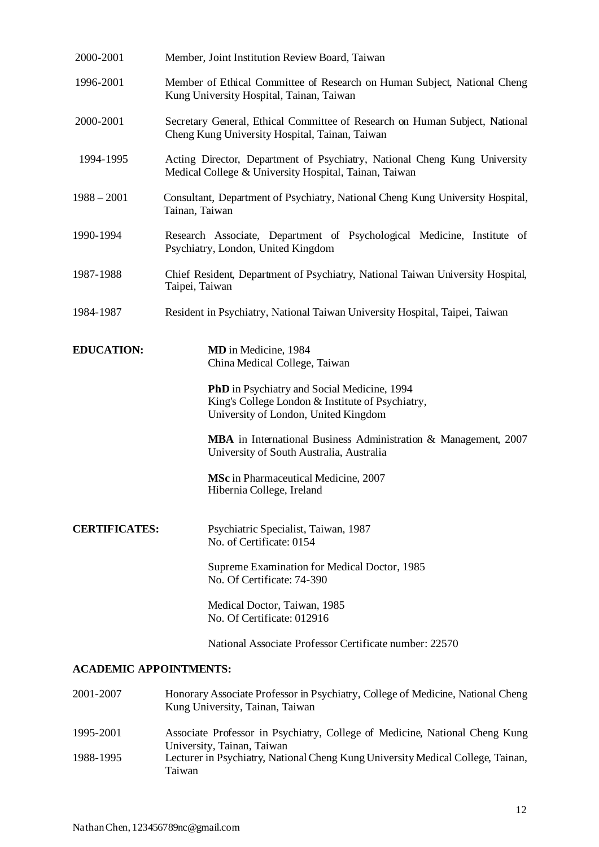| 2000-2001            | Member, Joint Institution Review Board, Taiwan                                                                                          |
|----------------------|-----------------------------------------------------------------------------------------------------------------------------------------|
| 1996-2001            | Member of Ethical Committee of Research on Human Subject, National Cheng<br>Kung University Hospital, Tainan, Taiwan                    |
| 2000-2001            | Secretary General, Ethical Committee of Research on Human Subject, National<br>Cheng Kung University Hospital, Tainan, Taiwan           |
| 1994-1995            | Acting Director, Department of Psychiatry, National Cheng Kung University<br>Medical College & University Hospital, Tainan, Taiwan      |
| $1988 - 2001$        | Consultant, Department of Psychiatry, National Cheng Kung University Hospital,<br>Tainan, Taiwan                                        |
| 1990-1994            | Research Associate, Department of Psychological Medicine, Institute of<br>Psychiatry, London, United Kingdom                            |
| 1987-1988            | Chief Resident, Department of Psychiatry, National Taiwan University Hospital,<br>Taipei, Taiwan                                        |
| 1984-1987            | Resident in Psychiatry, National Taiwan University Hospital, Taipei, Taiwan                                                             |
| <b>EDUCATION:</b>    | MD in Medicine, 1984<br>China Medical College, Taiwan                                                                                   |
|                      | PhD in Psychiatry and Social Medicine, 1994<br>King's College London & Institute of Psychiatry,<br>University of London, United Kingdom |
|                      | MBA in International Business Administration & Management, 2007<br>University of South Australia, Australia                             |
|                      | MSc in Pharmaceutical Medicine, 2007<br>Hibernia College, Ireland                                                                       |
| <b>CERTIFICATES:</b> | Psychiatric Specialist, Taiwan, 1987<br>No. of Certificate: 0154                                                                        |
|                      | Supreme Examination for Medical Doctor, 1985<br>No. Of Certificate: 74-390                                                              |
|                      | Medical Doctor, Taiwan, 1985<br>No. Of Certificate: 012916                                                                              |
|                      | National Associate Professor Certificate number: 22570                                                                                  |

### **ACADEMIC APPOINTMENTS:**

| 2001-2007 | Honorary Associate Professor in Psychiatry, College of Medicine, National Cheng<br>Kung University, Tainan, Taiwan |
|-----------|--------------------------------------------------------------------------------------------------------------------|
| 1995-2001 | Associate Professor in Psychiatry, College of Medicine, National Cheng Kung                                        |
|           | University, Tainan, Taiwan                                                                                         |
| 1988-1995 | Lecturer in Psychiatry, National Cheng Kung University Medical College, Tainan,<br>Taiwan                          |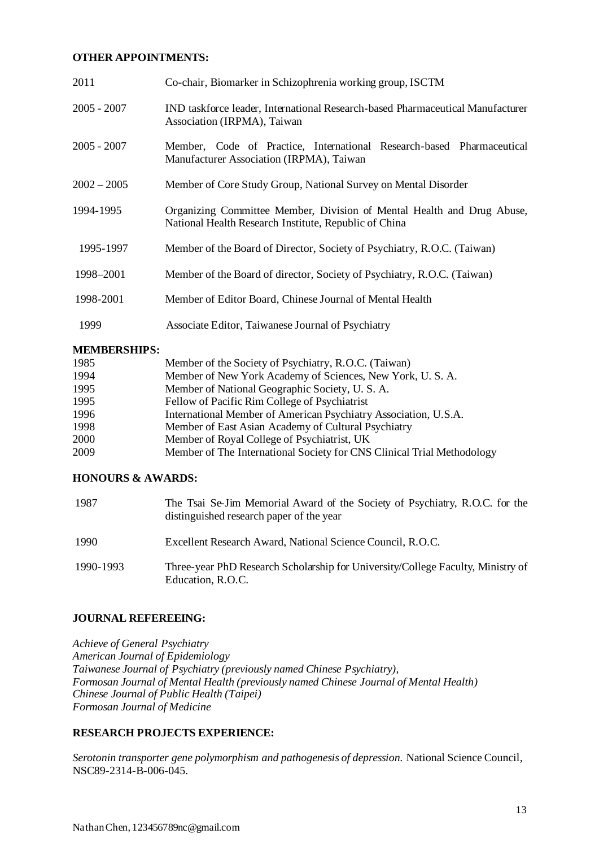#### **OTHER APPOINTMENTS:**

| 2011          | Co-chair, Biomarker in Schizophrenia working group, ISCTM                                                                       |
|---------------|---------------------------------------------------------------------------------------------------------------------------------|
| $2005 - 2007$ | IND taskforce leader, International Research-based Pharmaceutical Manufacturer<br>Association (IRPMA), Taiwan                   |
| $2005 - 2007$ | Member, Code of Practice, International Research-based Pharmaceutical<br>Manufacturer Association (IRPMA), Taiwan               |
| $2002 - 2005$ | Member of Core Study Group, National Survey on Mental Disorder                                                                  |
| 1994-1995     | Organizing Committee Member, Division of Mental Health and Drug Abuse,<br>National Health Research Institute, Republic of China |
| 1995-1997     | Member of the Board of Director, Society of Psychiatry, R.O.C. (Taiwan)                                                         |
| 1998–2001     | Member of the Board of director, Society of Psychiatry, R.O.C. (Taiwan)                                                         |
| 1998-2001     | Member of Editor Board, Chinese Journal of Mental Health                                                                        |
| 1999          | Associate Editor, Taiwanese Journal of Psychiatry                                                                               |

#### **MEMBERSHIPS:**

| 1985 | Member of the Society of Psychiatry, R.O.C. (Taiwan)                   |
|------|------------------------------------------------------------------------|
| 1994 | Member of New York Academy of Sciences, New York, U.S.A.               |
| 1995 | Member of National Geographic Society, U.S. A.                         |
| 1995 | Fellow of Pacific Rim College of Psychiatrist                          |
| 1996 | International Member of American Psychiatry Association, U.S.A.        |
| 1998 | Member of East Asian Academy of Cultural Psychiatry                    |
| 2000 | Member of Royal College of Psychiatrist, UK                            |
| 2009 | Member of The International Society for CNS Clinical Trial Methodology |

### **HONOURS & AWARDS:**

| 1987      | The Tsai Se-Jim Memorial Award of the Society of Psychiatry, R.O.C. for the<br>distinguished research paper of the year |
|-----------|-------------------------------------------------------------------------------------------------------------------------|
| 1990      | Excellent Research Award, National Science Council, R.O.C.                                                              |
| 1990-1993 | Three-year PhD Research Scholarship for University/College Faculty, Ministry of<br>Education, R.O.C.                    |

### **JOURNAL REFEREEING:**

*Achieve of General Psychiatry American Journal of Epidemiology Taiwanese Journal of Psychiatry (previously named Chinese Psychiatry), Formosan Journal of Mental Health (previously named Chinese Journal of Mental Health) Chinese Journal of Public Health (Taipei) Formosan Journal of Medicine*

### **RESEARCH PROJECTS EXPERIENCE:**

*Serotonin transporter gene polymorphism and pathogenesis of depression.* National Science Council*,* NSC89-2314-B-006-045.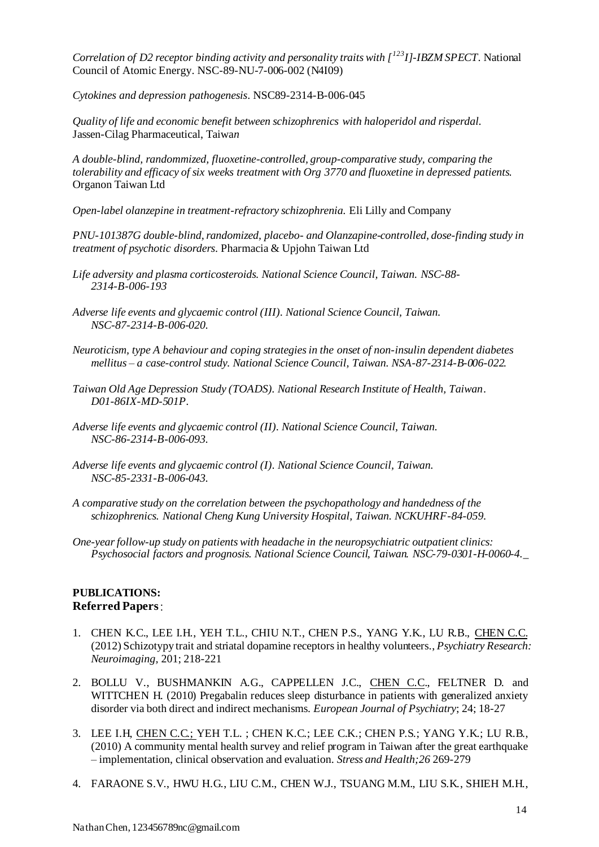*Correlation of D2 receptor binding activity and personality traits with [<sup>123</sup>I]-IBZM SPECT*. National Council of Atomic Energy. NSC-89-NU-7-006-002 (N4I09)

*Cytokines and depression pathogenesis*. NSC89-2314-B-006-045

*Quality of life and economic benefit between schizophrenics with haloperidol and risperdal.*  Jassen-Cilag Pharmaceutical, Taiwa*n*

*A double-blind, randommized, fluoxetine-controlled, group-comparative study, comparing the tolerability and efficacy of six weeks treatment with Org 3770 and fluoxetine in depressed patients.*  Organon Taiwan Ltd

*Open-label olanzepine in treatment-refractory schizophrenia.* Eli Lilly and Company

*PNU-101387G double-blind, randomized, placebo- and Olanzapine-controlled, dose-finding study in treatment of psychotic disorders*. Pharmacia & Upjohn Taiwan Ltd

*Life adversity and plasma corticosteroids. National Science Council, Taiwan. NSC-88- 2314-B-006-193*

*Adverse life events and glycaemic control (III). National Science Council, Taiwan. NSC-87-2314-B-006-020.*

*Neuroticism, type A behaviour and coping strategies in the onset of non-insulin dependent diabetes mellitus – a case-control study. National Science Council, Taiwan. NSA-87-2314-B-006-022.*

*Taiwan Old Age Depression Study (TOADS). National Research Institute of Health, Taiwan. D01-86IX-MD-501P.*

*Adverse life events and glycaemic control (II). National Science Council, Taiwan. NSC-86-2314-B-006-093.*

*Adverse life events and glycaemic control (I). National Science Council, Taiwan. NSC-85-2331-B-006-043.*

*A comparative study on the correlation between the psychopathology and handedness of the schizophrenics. National Cheng Kung University Hospital, Taiwan. NCKUHRF-84-059.*

*One-year follow-up study on patients with headache in the neuropsychiatric outpatient clinics: Psychosocial factors and prognosis. National Science Council, Taiwan. NSC-79-0301-H-0060-4.\_*

#### **PUBLICATIONS: Referred Papers**:

- 1. CHEN K.C., LEE I.H., YEH T.L., CHIU N.T., CHEN P.S., YANG Y.K., LU R.B., CHEN C.C. (2012) Schizotypy trait and striatal dopamine receptors in healthy volunteers., *Psychiatry Research: Neuroimaging,* 201; 218-221
- 2. BOLLU V., BUSHMANKIN A.G., CAPPELLEN J.C., CHEN C.C., FELTNER D. and WITTCHEN H. (2010) Pregabalin reduces sleep disturbance in patients with generalized anxiety disorder via both direct and indirect mechanisms. *European Journal of Psychiatry*; 24; 18-27
- 3. LEE I.H, CHEN C.C.; YEH T.L. ; CHEN K.C.; LEE C.K.; CHEN P.S.; YANG Y.K.; LU R.B., (2010) A community mental health survey and relief program in Taiwan after the great earthquake – implementation, clinical observation and evaluation. *Stress and Health;26* 269-279
- 4. FARAONE S.V., HWU H.G., LIU C.M., CHEN W.J., TSUANG M.M., LIU S.K., SHIEH M.H.,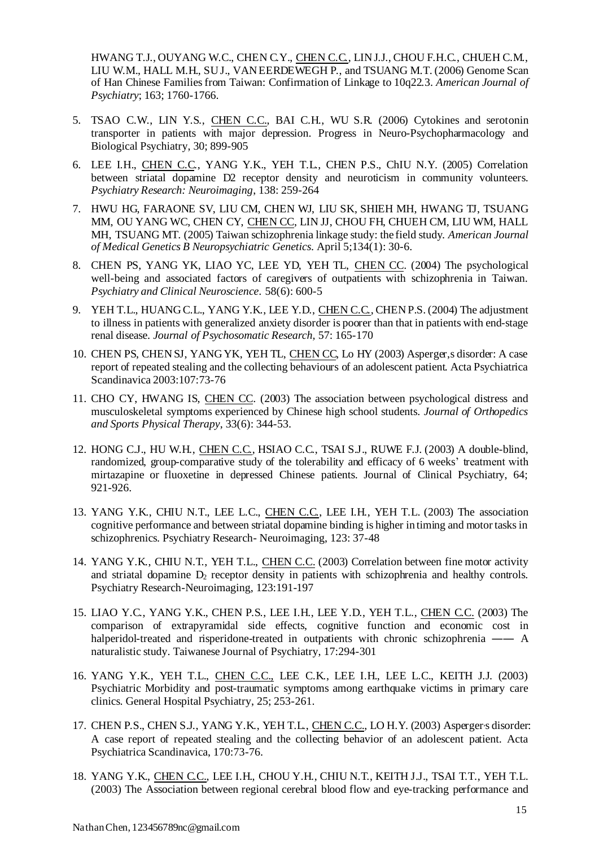HWANG T.J., OUYANG W.C., CHEN C.Y., CHEN C.C., LIN J.J., CHOU F.H.C., CHUEH C.M., LIU W.M., HALL M.H., SU J., VAN EERDEWEGH P., and TSUANG M.T. (2006) Genome Scan of Han Chinese Families from Taiwan: Confirmation of Linkage to 10q22.3. *American Journal of Psychiatry*; 163; 1760-1766.

- 5. TSAO C.W., LIN Y.S., CHEN C.C., BAI C.H., WU S.R. (2006) Cytokines and serotonin transporter in patients with major depression. Progress in Neuro-Psychopharmacology and Biological Psychiatry, 30; 899-905
- 6. LEE I.H., CHEN C.C., YANG Y.K., YEH T.L., CHEN P.S., ChIU N.Y. (2005) Correlation between striatal dopamine D2 receptor density and neuroticism in community volunteers. *Psychiatry Research: Neuroimaging*, 138: 259-264
- 7. [HWU HG, FARAONE SV, LIU CM, CHEN WJ, LIU SK, SHIEH MH,](http://www.ncbi.nlm.nih.gov/entrez/query.fcgi?db=pubmed&cmd=Retrieve&dopt=AbstractPlus&list_uids=15685625&query_hl=1&itool=pubmed_docsum) HWANG TJ, TSUANG [MM, OU YANG WC, CHEN CY, CHEN CC, LIN JJ, CHOU FH, CHUEH CM, LIU WM, HALL](http://www.ncbi.nlm.nih.gov/entrez/query.fcgi?db=pubmed&cmd=Retrieve&dopt=AbstractPlus&list_uids=15685625&query_hl=1&itool=pubmed_docsum)  [MH, TSUANG MT.](http://www.ncbi.nlm.nih.gov/entrez/query.fcgi?db=pubmed&cmd=Retrieve&dopt=AbstractPlus&list_uids=15685625&query_hl=1&itool=pubmed_docsum) (2005) Taiwan schizophrenia linkage study: the field study. *American Journal of Medical Genetics B Neuropsychiatric Genetics*. April 5;134(1): 30-6.
- 8. [CHEN PS, YANG YK, LIAO YC, LEE YD, YEH TL, CHEN CC.](http://www.ncbi.nlm.nih.gov/entrez/query.fcgi?db=pubmed&cmd=Retrieve&dopt=AbstractPlus&list_uids=15601383&query_hl=1&itool=pubmed_docsum) (2004) The psychological well-being and associated factors of caregivers of outpatients with schizophrenia in Taiwan. *Psychiatry and Clinical Neuroscience*. 58(6): 600-5
- 9. YEH T.L., HUANG C.L., YANG Y.K., LEE Y.D., CHEN C.C., CHEN P.S. (2004) The adjustment to illness in patients with generalized anxiety disorder is poorer than that in patients with end-stage renal disease. *Journal of Psychosomatic Research,* 57: 165-170
- 10. CHEN PS, CHEN SJ, YANG YK, YEH TL, CHEN CC, Lo HY (2003) Asperger,s disorder: A case report of repeated stealing and the collecting behaviours of an adolescent patient. Acta Psychiatrica Scandinavica 2003:107:73-76
- 11. [CHO CY, HWANG IS, CHEN CC.](http://www.ncbi.nlm.nih.gov/entrez/query.fcgi?db=pubmed&cmd=Retrieve&dopt=AbstractPlus&list_uids=12839210&query_hl=1&itool=pubmed_docsum) (2003) The association between psychological distress and musculoskeletal symptoms experienced by Chinese high school students. *Journal of Orthopedics and Sports Physical Therapy*, 33(6): 344-53.
- 12. HONG C.J., HU W.H., CHEN C.C., HSIAO C.C., TSAI S.J., RUWE F.J. (2003) A double-blind, randomized, group-comparative study of the tolerability and efficacy of 6 weeks' treatment with mirtazapine or fluoxetine in depressed Chinese patients. Journal of Clinical Psychiatry, 64; 921-926.
- 13. YANG Y.K., CHIU N.T., LEE L.C., CHEN C.C., LEE I.H., YEH T.L. (2003) The association cognitive performance and between striatal dopamine binding is higher in timing and motor tasks in schizophrenics. Psychiatry Research- Neuroimaging, 123: 37-48
- 14. YANG Y.K., CHIU N.T., YEH T.L., CHEN C.C. (2003) Correlation between fine motor activity and striatal dopamine  $D_2$  receptor density in patients with schizophrenia and healthy controls. Psychiatry Research-Neuroimaging, 123:191-197
- 15. LIAO Y.C., YANG Y.K., CHEN P.S., LEE I.H., LEE Y.D., YEH T.L., CHEN C.C. (2003) The comparison of extrapyramidal side effects, cognitive function and economic cost in halperidol-treated and risperidone-treated in outpatients with chronic schizophrenia —— A naturalistic study. Taiwanese Journal of Psychiatry, 17:294-301
- 16. YANG Y.K., YEH T.L., CHEN C.C., LEE C.K., LEE I.H., LEE L.C., KEITH J.J. (2003) Psychiatric Morbidity and post-traumatic symptoms among earthquake victims in primary care clinics. General Hospital Psychiatry, 25; 253-261.
- 17. CHEN P.S., CHEN S.J., YANG Y.K., YEH T.L., CHEN C.C., LO H.Y. (2003) Asperger,s disorder: A case report of repeated stealing and the collecting behavior of an adolescent patient. Acta Psychiatrica Scandinavica, 170:73-76.
- 18. YANG Y.K., CHEN C.C., LEE I.H., CHOU Y.H., CHIU N.T., KEITH J.J., TSAI T.T., YEH T.L. (2003) The Association between regional cerebral blood flow and eye-tracking performance and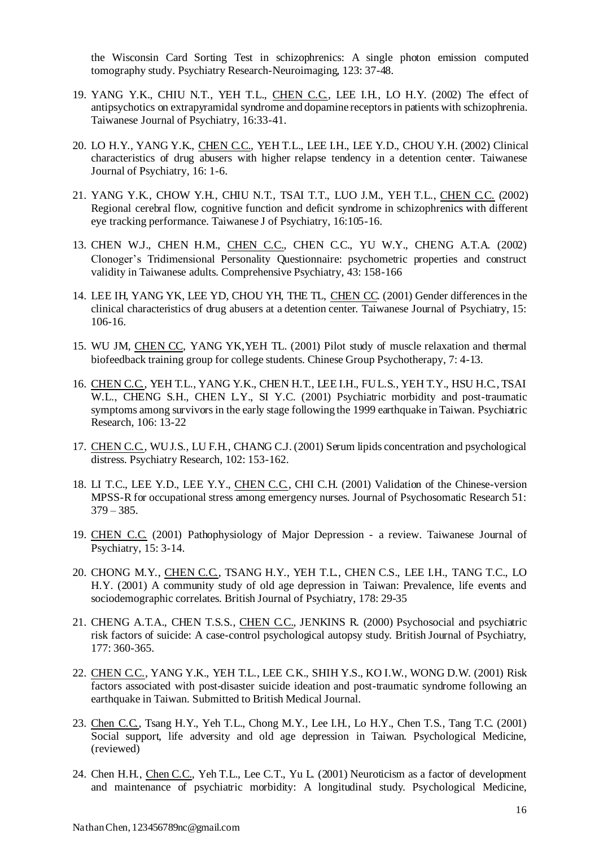the Wisconsin Card Sorting Test in schizophrenics: A single photon emission computed tomography study. Psychiatry Research-Neuroimaging, 123: 37-48.

- 19. YANG Y.K., CHIU N.T., YEH T.L., CHEN C.C., LEE I.H., LO H.Y. (2002) The effect of antipsychotics on extrapyramidal syndrome and dopamine receptors in patients with schizophrenia. Taiwanese Journal of Psychiatry, 16:33-41.
- 20. LO H.Y., YANG Y.K., CHEN C.C., YEH T.L., LEE I.H., LEE Y.D., CHOU Y.H. (2002) Clinical characteristics of drug abusers with higher relapse tendency in a detention center. Taiwanese Journal of Psychiatry, 16: 1-6.
- 21. YANG Y.K., CHOW Y.H., CHIU N.T., TSAI T.T., LUO J.M., YEH T.L., CHEN C.C. (2002) Regional cerebral flow, cognitive function and deficit syndrome in schizophrenics with different eye tracking performance. Taiwanese J of Psychiatry, 16:105-16.
- 13. CHEN W.J., CHEN H.M., CHEN C.C., CHEN C.C., YU W.Y., CHENG A.T.A. (2002) Clonoger's Tridimensional Personality Questionnaire: psychometric properties and construct validity in Taiwanese adults. Comprehensive Psychiatry, 43: 158-166
- 14. LEE IH, YANG YK, LEE YD, CHOU YH, THE TL, CHEN CC. (2001) Gender differences in the clinical characteristics of drug abusers at a detention center. Taiwanese Journal of Psychiatry, 15: 106-16.
- 15. WU JM, CHEN CC, YANG YK,YEH TL. (2001) Pilot study of muscle relaxation and thermal biofeedback training group for college students. Chinese Group Psychotherapy, 7: 4-13.
- 16. CHEN C.C., YEH T.L., YANG Y.K., CHEN H.T., LEE I.H., FU L.S., YEH T.Y., HSU H.C., TSAI W.L., CHENG S.H., CHEN L.Y., SI Y.C. (2001) Psychiatric morbidity and post-traumatic symptoms among survivors in the early stage following the 1999 earthquake in Taiwan. Psychiatric Research, 106: 13-22
- 17. CHEN C.C., WU J.S., LU F.H., CHANG C.J. (2001) Serum lipids concentration and psychological distress. Psychiatry Research, 102: 153-162.
- 18. LI T.C., LEE Y.D., LEE Y.Y., CHEN C.C., CHI C.H. (2001) Validation of the Chinese-version MPSS-R for occupational stress among emergency nurses. Journal of Psychosomatic Research 51:  $379 - 385.$
- 19. CHEN C.C. (2001) Pathophysiology of Major Depression a review. Taiwanese Journal of Psychiatry, 15: 3-14.
- 20. CHONG M.Y., CHEN C.C., TSANG H.Y., YEH T.L., CHEN C.S., LEE I.H., TANG T.C., LO H.Y. (2001) A community study of old age depression in Taiwan: Prevalence, life events and sociodemographic correlates. British Journal of Psychiatry, 178: 29-35
- 21. CHENG A.T.A., CHEN T.S.S., CHEN C.C., JENKINS R. (2000) Psychosocial and psychiatric risk factors of suicide: A case-control psychological autopsy study. British Journal of Psychiatry, 177: 360-365.
- 22. CHEN C.C., YANG Y.K., YEH T.L., LEE C.K., SHIH Y.S., KO I.W., WONG D.W. (2001) Risk factors associated with post-disaster suicide ideation and post-traumatic syndrome following an earthquake in Taiwan. Submitted to British Medical Journal.
- 23. Chen C.C., Tsang H.Y., Yeh T.L., Chong M.Y., Lee I.H., Lo H.Y., Chen T.S., Tang T.C. (2001) Social support, life adversity and old age depression in Taiwan. Psychological Medicine, (reviewed)
- 24. Chen H.H., Chen C.C., Yeh T.L., Lee C.T., Yu L. (2001) Neuroticism as a factor of development and maintenance of psychiatric morbidity: A longitudinal study. Psychological Medicine,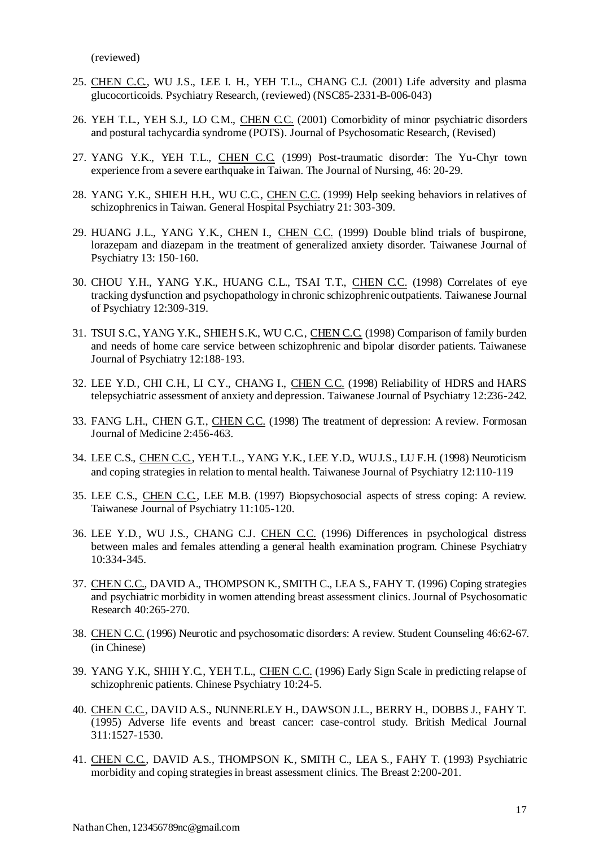(reviewed)

- 25. CHEN C.C., WU J.S., LEE I. H., YEH T.L., CHANG C.J. (2001) Life adversity and plasma glucocorticoids. Psychiatry Research, (reviewed) (NSC85-2331-B-006-043)
- 26. YEH T.L., YEH S.J., LO C.M., CHEN C.C. (2001) Comorbidity of minor psychiatric disorders and postural tachycardia syndrome (POTS). Journal of Psychosomatic Research, (Revised)
- 27. YANG Y.K., YEH T.L., CHEN C.C. (1999) Post-traumatic disorder: The Yu-Chyr town experience from a severe earthquake in Taiwan. The Journal of Nursing, 46: 20-29.
- 28. YANG Y.K., SHIEH H.H., WU C.C., CHEN C.C. (1999) Help seeking behaviors in relatives of schizophrenics in Taiwan. General Hospital Psychiatry 21: 303-309.
- 29. HUANG J.L., YANG Y.K., CHEN I., CHEN C.C. (1999) Double blind trials of buspirone, lorazepam and diazepam in the treatment of generalized anxiety disorder. Taiwanese Journal of Psychiatry 13: 150-160.
- 30. CHOU Y.H., YANG Y.K., HUANG C.L., TSAI T.T., CHEN C.C. (1998) Correlates of eye tracking dysfunction and psychopathology in chronic schizophrenic outpatients. Taiwanese Journal of Psychiatry 12:309-319.
- 31. TSUI S.C., YANG Y.K., SHIEH S.K., WU C.C., CHEN C.C. (1998) Comparison of family burden and needs of home care service between schizophrenic and bipolar disorder patients. Taiwanese Journal of Psychiatry 12:188-193.
- 32. LEE Y.D., CHI C.H., LI C.Y., CHANG I., CHEN C.C. (1998) Reliability of HDRS and HARS telepsychiatric assessment of anxiety and depression. Taiwanese Journal of Psychiatry 12:236-242.
- 33. FANG L.H., CHEN G.T., CHEN C.C. (1998) The treatment of depression: A review. Formosan Journal of Medicine 2:456-463.
- 34. LEE C.S., CHEN C.C., YEH T.L., YANG Y.K., LEE Y.D., WU J.S., LU F.H. (1998) Neuroticism and coping strategies in relation to mental health. Taiwanese Journal of Psychiatry 12:110-119
- 35. LEE C.S., CHEN C.C., LEE M.B. (1997) Biopsychosocial aspects of stress coping: A review. Taiwanese Journal of Psychiatry 11:105-120.
- 36. LEE Y.D., WU J.S., CHANG C.J. CHEN C.C. (1996) Differences in psychological distress between males and females attending a general health examination program. Chinese Psychiatry 10:334-345.
- 37. CHEN C.C., DAVID A., THOMPSON K., SMITH C., LEA S., FAHY T. (1996) Coping strategies and psychiatric morbidity in women attending breast assessment clinics. Journal of Psychosomatic Research 40:265-270.
- 38. CHEN C.C. (1996) Neurotic and psychosomatic disorders: A review. Student Counseling 46:62-67. (in Chinese)
- 39. YANG Y.K., SHIH Y.C., YEH T.L., CHEN C.C. (1996) Early Sign Scale in predicting relapse of schizophrenic patients. Chinese Psychiatry 10:24-5.
- 40. CHEN C.C., DAVID A.S., NUNNERLEY H., DAWSON J.L., BERRY H., DOBBS J., FAHY T. (1995) Adverse life events and breast cancer: case-control study. British Medical Journal 311:1527-1530.
- 41. CHEN C.C., DAVID A.S., THOMPSON K., SMITH C., LEA S., FAHY T. (1993) Psychiatric morbidity and coping strategies in breast assessment clinics. The Breast 2:200-201.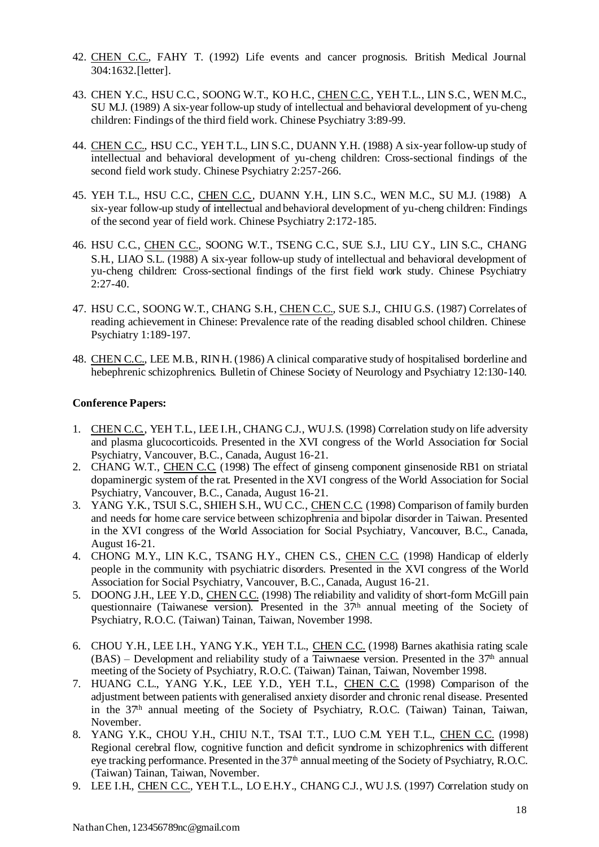- 42. CHEN C.C., FAHY T. (1992) Life events and cancer prognosis. British Medical Journal 304:1632.[letter].
- 43. CHEN Y.C., HSU C.C., SOONG W.T., KO H.C., CHEN C.C., YEH T.L., LIN S.C., WEN M.C., SU M.J. (1989) A six-year follow-up study of intellectual and behavioral development of yu-cheng children: Findings of the third field work. Chinese Psychiatry 3:89-99.
- 44. CHEN C.C., HSU C.C., YEH T.L., LIN S.C., DUANN Y.H. (1988) A six-year follow-up study of intellectual and behavioral development of yu-cheng children: Cross-sectional findings of the second field work study. Chinese Psychiatry 2:257-266.
- 45. YEH T.L., HSU C.C., CHEN C.C., DUANN Y.H., LIN S.C., WEN M.C., SU M.J. (1988) A six-year follow-up study of intellectual and behavioral development of yu-cheng children: Findings of the second year of field work. Chinese Psychiatry 2:172-185.
- 46. HSU C.C., CHEN C.C., SOONG W.T., TSENG C.C., SUE S.J., LIU C.Y., LIN S.C., CHANG S.H., LIAO S.L. (1988) A six-year follow-up study of intellectual and behavioral development of yu-cheng children: Cross-sectional findings of the first field work study. Chinese Psychiatry  $2:27-40.$
- 47. HSU C.C., SOONG W.T., CHANG S.H., CHEN C.C., SUE S.J., CHIU G.S. (1987) Correlates of reading achievement in Chinese: Prevalence rate of the reading disabled school children. Chinese Psychiatry 1:189-197.
- 48. CHEN C.C., LEE M.B., RIN H. (1986) A clinical comparative study of hospitalised borderline and hebephrenic schizophrenics. Bulletin of Chinese Society of Neurology and Psychiatry 12:130-140.

#### **Conference Papers:**

- 1. CHEN C.C., YEH T.L., LEE I.H., CHANG C.J., WU J.S. (1998) Correlation study on life adversity and plasma glucocorticoids. Presented in the XVI congress of the World Association for Social Psychiatry, Vancouver, B.C., Canada, August 16-21.
- 2. CHANG W.T., CHEN C.C. (1998) The effect of ginseng component ginsenoside RB1 on striatal dopaminergic system of the rat. Presented in the XVI congress of the World Association for Social Psychiatry, Vancouver, B.C., Canada, August 16-21.
- 3. YANG Y.K., TSUI S.C., SHIEH S.H., WU C.C., CHEN C.C. (1998) Comparison of family burden and needs for home care service between schizophrenia and bipolar disorder in Taiwan. Presented in the XVI congress of the World Association for Social Psychiatry, Vancouver, B.C., Canada, August 16-21.
- 4. CHONG M.Y., LIN K.C., TSANG H.Y., CHEN C.S., CHEN C.C. (1998) Handicap of elderly people in the community with psychiatric disorders. Presented in the XVI congress of the World Association for Social Psychiatry, Vancouver, B.C., Canada, August 16-21.
- 5. DOONG J.H., LEE Y.D., CHEN C.C. (1998) The reliability and validity of short-form McGill pain questionnaire (Taiwanese version). Presented in the 37<sup>th</sup> annual meeting of the Society of Psychiatry, R.O.C. (Taiwan) Tainan, Taiwan, November 1998.
- 6. CHOU Y.H., LEE I.H., YANG Y.K., YEH T.L., CHEN C.C. (1998) Barnes akathisia rating scale  $(BAS)$  – Development and reliability study of a Taiwnaese version. Presented in the 37<sup>th</sup> annual meeting of the Society of Psychiatry, R.O.C. (Taiwan) Tainan, Taiwan, November 1998.
- 7. HUANG C.L., YANG Y.K., LEE Y.D., YEH T.L., CHEN C.C. (1998) Comparison of the adjustment between patients with generalised anxiety disorder and chronic renal disease. Presented in the 37th annual meeting of the Society of Psychiatry, R.O.C. (Taiwan) Tainan, Taiwan, November.
- 8. YANG Y.K., CHOU Y.H., CHIU N.T., TSAI T.T., LUO C.M. YEH T.L., CHEN C.C. (1998) Regional cerebral flow, cognitive function and deficit syndrome in schizophrenics with different eye tracking performance. Presented in the 37<sup>th</sup> annual meeting of the Society of Psychiatry, R.O.C. (Taiwan) Tainan, Taiwan, November.
- 9. LEE I.H., CHEN C.C., YEH T.L., LO E.H.Y., CHANG C.J., WU J.S. (1997) Correlation study on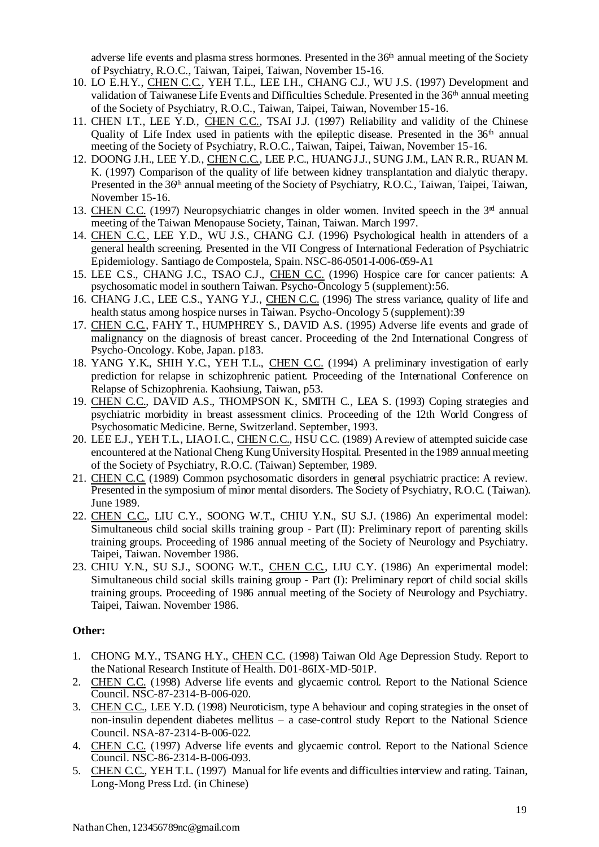adverse life events and plasma stress hormones. Presented in the 36<sup>th</sup> annual meeting of the Society of Psychiatry, R.O.C., Taiwan, Taipei, Taiwan, November 15-16.

- 10. LO E.H.Y., CHEN C.C., YEH T.L., LEE I.H., CHANG C.J., WU J.S. (1997) Development and validation of Taiwanese Life Events and Difficulties Schedule. Presented in the  $36<sup>th</sup>$  annual meeting of the Society of Psychiatry, R.O.C., Taiwan, Taipei, Taiwan, November 15-16.
- 11. CHEN I.T., LEE Y.D., CHEN C.C., TSAI J.J. (1997) Reliability and validity of the Chinese Quality of Life Index used in patients with the epileptic disease. Presented in the  $36<sup>th</sup>$  annual meeting of the Society of Psychiatry, R.O.C., Taiwan, Taipei, Taiwan, November 15-16.
- 12. DOONG J.H., LEE Y.D., CHEN C.C., LEE P.C., HUANG J.J., SUNG J.M., LAN R.R., RUAN M. K. (1997) Comparison of the quality of life between kidney transplantation and dialytic therapy. Presented in the 36<sup>th</sup> annual meeting of the Society of Psychiatry, R.O.C., Taiwan, Taipei, Taiwan, November 15-16.
- 13. CHEN C.C. (1997) Neuropsychiatric changes in older women. Invited speech in the 3rd annual meeting of the Taiwan Menopause Society, Tainan, Taiwan. March 1997.
- 14. CHEN C.C., LEE Y.D., WU J.S., CHANG C.J. (1996) Psychological health in attenders of a general health screening. Presented in the VII Congress of International Federation of Psychiatric Epidemiology. Santiago de Compostela, Spain. NSC-86-0501-I-006-059-A1
- 15. LEE C.S., CHANG J.C., TSAO C.J., CHEN C.C. (1996) Hospice care for cancer patients: A psychosomatic model in southern Taiwan. Psycho-Oncology 5 (supplement):56.
- 16. CHANG J.C., LEE C.S., YANG Y.J., CHEN C.C. (1996) The stress variance, quality of life and health status among hospice nurses in Taiwan. Psycho-Oncology 5 (supplement):39
- 17. CHEN C.C., FAHY T., HUMPHREY S., DAVID A.S. (1995) Adverse life events and grade of malignancy on the diagnosis of breast cancer. Proceeding of the 2nd International Congress of Psycho-Oncology. Kobe, Japan. p183.
- 18. YANG Y.K., SHIH Y.C., YEH T.L., CHEN C.C. (1994) A preliminary investigation of early prediction for relapse in schizophrenic patient. Proceeding of the International Conference on Relapse of Schizophrenia. Kaohsiung, Taiwan, p53.
- 19. CHEN C.C., DAVID A.S., THOMPSON K., SMITH C., LEA S. (1993) Coping strategies and psychiatric morbidity in breast assessment clinics. Proceeding of the 12th World Congress of Psychosomatic Medicine. Berne, Switzerland. September, 1993.
- 20. LEE E.J., YEH T.L., LIAO I.C., CHEN C.C., HSU C.C. (1989) A review of attempted suicide case encountered at the National Cheng Kung University Hospital. Presented in the 1989 annual meeting of the Society of Psychiatry, R.O.C. (Taiwan) September, 1989.
- 21. CHEN C.C. (1989) Common psychosomatic disorders in general psychiatric practice: A review. Presented in the symposium of minor mental disorders. The Society of Psychiatry, R.O.C. (Taiwan). June 1989.
- 22. CHEN C.C., LIU C.Y., SOONG W.T., CHIU Y.N., SU S.J. (1986) An experimental model: Simultaneous child social skills training group - Part (II): Preliminary report of parenting skills training groups. Proceeding of 1986 annual meeting of the Society of Neurology and Psychiatry. Taipei, Taiwan. November 1986.
- 23. CHIU Y.N., SU S.J., SOONG W.T., CHEN C.C., LIU C.Y. (1986) An experimental model: Simultaneous child social skills training group - Part (I): Preliminary report of child social skills training groups. Proceeding of 1986 annual meeting of the Society of Neurology and Psychiatry. Taipei, Taiwan. November 1986.

### **Other:**

- 1. CHONG M.Y., TSANG H.Y., CHEN C.C. (1998) Taiwan Old Age Depression Study. Report to the National Research Institute of Health. D01-86IX-MD-501P.
- 2. CHEN C.C. (1998) Adverse life events and glycaemic control. Report to the National Science Council. NSC-87-2314-B-006-020.
- 3. CHEN C.C., LEE Y.D. (1998) Neuroticism, type A behaviour and coping strategies in the onset of non-insulin dependent diabetes mellitus – a case-control study Report to the National Science Council. NSA-87-2314-B-006-022.
- 4. CHEN C.C. (1997) Adverse life events and glycaemic control. Report to the National Science Council. NSC-86-2314-B-006-093.
- 5. CHEN C.C., YEH T.L. (1997) Manual for life events and difficulties interview and rating. Tainan, Long-Mong Press Ltd. (in Chinese)